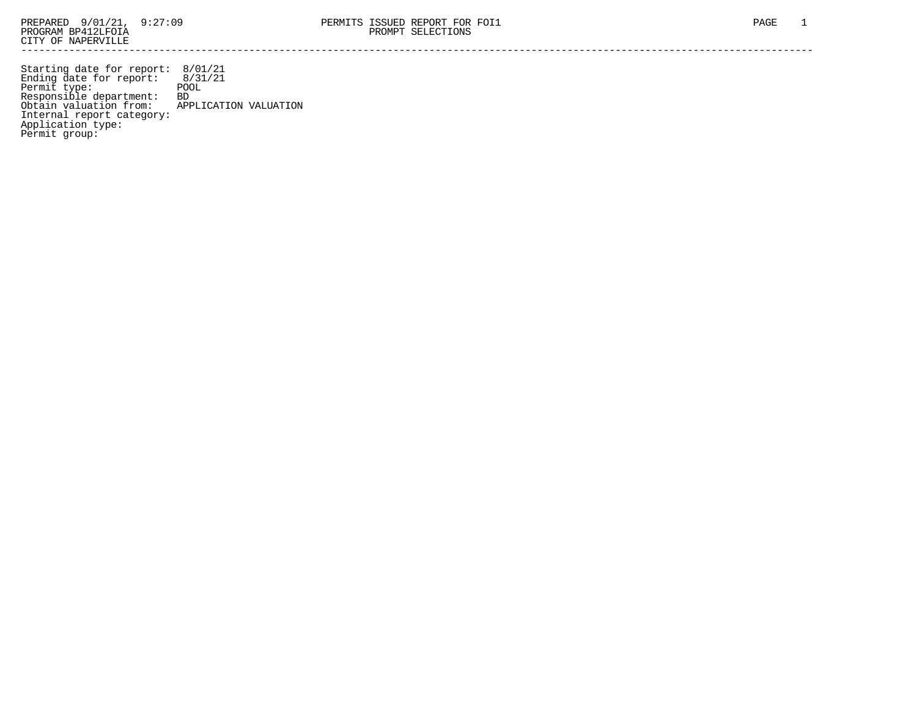Starting date for report: 8/01/21 Ending date for report: 8/31/21 Permit type: The POOL Responsible department: BD Obtain valuation from: APPLICATION VALUATION Internal report category: Application type: Permit group: